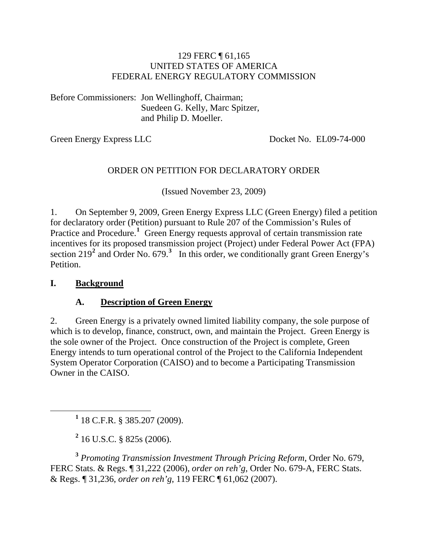#### 129 FERC ¶ 61,165 UNITED STATES OF AMERICA FEDERAL ENERGY REGULATORY COMMISSION

Before Commissioners: Jon Wellinghoff, Chairman; Suedeen G. Kelly, Marc Spitzer, and Philip D. Moeller.

Green Energy Express LLC Docket No. EL09-74-000

#### ORDER ON PETITION FOR DECLARATORY ORDER

(Issued November 23, 2009)

1. On September 9, 2009, Green Energy Express LLC (Green Energy) filed a petition for declaratory order (Petition) pursuant to Rule 207 of the Commission's Rules of Practice and Procedure.<sup>[1](#page-0-0)</sup> Green Energy requests approval of certain transmission rate incentives for its proposed transmission project (Project) under Federal Power Act (FPA) section  $219^2$  $219^2$  and Order No. 679.<sup>[3](#page-0-2)</sup> In this order, we conditionally grant Green Energy's Petition.

#### **I. Background**

#### **A. Description of Green Energy**

2. Green Energy is a privately owned limited liability company, the sole purpose of which is to develop, finance, construct, own, and maintain the Project. Green Energy is the sole owner of the Project. Once construction of the Project is complete, Green Energy intends to turn operational control of the Project to the California Independent System Operator Corporation (CAISO) and to become a Participating Transmission Owner in the CAISO.

<span id="page-0-0"></span><u>1</u>  $1$  18 C.F.R. § 385.207 (2009).

**2** 16 U.S.C. § 825s (2006).

<span id="page-0-2"></span><span id="page-0-1"></span>**<sup>3</sup>** *Promoting Transmission Investment Through Pricing Reform*, Order No. 679, FERC Stats. & Regs. ¶ 31,222 (2006), *order on reh'g*, Order No. 679-A, FERC Stats. & Regs. ¶ 31,236, *order on reh'g*, 119 FERC ¶ 61,062 (2007).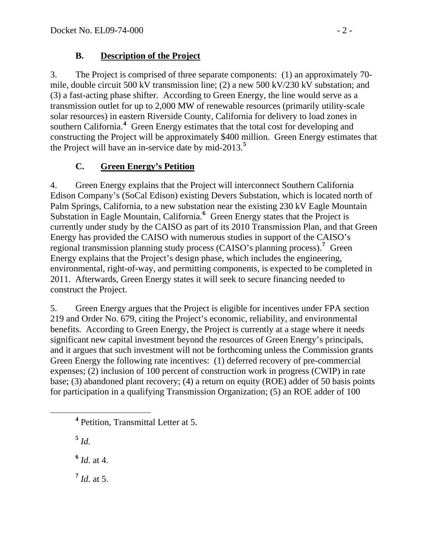## **B. Description of the Project**

3. The Project is comprised of three separate components: (1) an approximately 70 mile, double circuit 500 kV transmission line; (2) a new 500 kV/230 kV substation; and (3) a fast-acting phase shifter. According to Green Energy, the line would serve as a transmission outlet for up to 2,000 MW of renewable resources (primarily utility-scale solar resources) in eastern Riverside County, California for delivery to load zones in southern California.<sup>[4](#page-1-0)</sup> Green Energy estimates that the total cost for developing and constructing the Project will be approximately \$400 million. Green Energy estimates that the Project will have an in-service date by mid-2013.**[5](#page-1-1)**

# **C. Green Energy's Petition**

4. Green Energy explains that the Project will interconnect Southern California Edison Company's (SoCal Edison) existing Devers Substation, which is located north of Palm Springs, California, to a new substation near the existing 230 kV Eagle Mountain Substation in Eagle Mountain, California.<sup>[6](#page-1-2)</sup> Green Energy states that the Project is currently under study by the CAISO as part of its 2010 Transmission Plan, and that Green Energy has provided the CAISO with numerous studies in support of the CAISO's regional transmission planning study process (CAISO's planning process).**[7](#page-1-3)** Green Energy explains that the Project's design phase, which includes the engineering, environmental, right-of-way, and permitting components, is expected to be completed in 2011. Afterwards, Green Energy states it will seek to secure financing needed to construct the Project.

5. Green Energy argues that the Project is eligible for incentives under FPA section 219 and Order No. 679, citing the Project's economic, reliability, and environmental benefits. According to Green Energy, the Project is currently at a stage where it needs significant new capital investment beyond the resources of Green Energy's principals, and it argues that such investment will not be forthcoming unless the Commission grants Green Energy the following rate incentives: (1) deferred recovery of pre-commercial expenses; (2) inclusion of 100 percent of construction work in progress (CWIP) in rate base; (3) abandoned plant recovery; (4) a return on equity (ROE) adder of 50 basis points for participation in a qualifying Transmission Organization; (5) an ROE adder of 100

**<sup>5</sup>** *Id.* 

**<sup>6</sup>** *Id.* at 4.

<span id="page-1-3"></span> $^7$  *Id.* at 5.

<span id="page-1-2"></span><span id="page-1-1"></span><span id="page-1-0"></span>**<sup>4</sup>** Petition, Transmittal Letter at 5.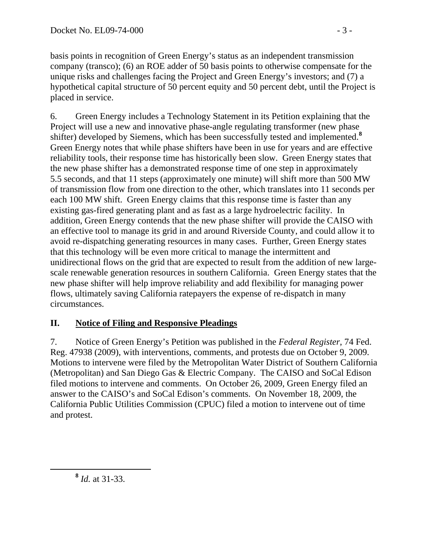basis points in recognition of Green Energy's status as an independent transmission company (transco); (6) an ROE adder of 50 basis points to otherwise compensate for the unique risks and challenges facing the Project and Green Energy's investors; and (7) a hypothetical capital structure of 50 percent equity and 50 percent debt, until the Project is placed in service.

6. Green Energy includes a Technology Statement in its Petition explaining that the Project will use a new and innovative phase-angle regulating transformer (new phase shifter) developed by Siemens, which has been successfully tested and implemented.**[8](#page-2-0)** Green Energy notes that while phase shifters have been in use for years and are effective reliability tools, their response time has historically been slow. Green Energy states that the new phase shifter has a demonstrated response time of one step in approximately 5.5 seconds, and that 11 steps (approximately one minute) will shift more than 500 MW of transmission flow from one direction to the other, which translates into 11 seconds per each 100 MW shift. Green Energy claims that this response time is faster than any existing gas-fired generating plant and as fast as a large hydroelectric facility. In addition, Green Energy contends that the new phase shifter will provide the CAISO with an effective tool to manage its grid in and around Riverside County, and could allow it to avoid re-dispatching generating resources in many cases. Further, Green Energy states that this technology will be even more critical to manage the intermittent and unidirectional flows on the grid that are expected to result from the addition of new largescale renewable generation resources in southern California. Green Energy states that the new phase shifter will help improve reliability and add flexibility for managing power flows, ultimately saving California ratepayers the expense of re-dispatch in many circumstances.

# **II. Notice of Filing and Responsive Pleadings**

7. Notice of Green Energy's Petition was published in the *Federal Register*, 74 Fed. Reg. 47938 (2009), with interventions, comments, and protests due on October 9, 2009. Motions to intervene were filed by the Metropolitan Water District of Southern California (Metropolitan) and San Diego Gas & Electric Company. The CAISO and SoCal Edison filed motions to intervene and comments. On October 26, 2009, Green Energy filed an answer to the CAISO's and SoCal Edison's comments. On November 18, 2009, the California Public Utilities Commission (CPUC) filed a motion to intervene out of time and protest.

<span id="page-2-0"></span>**<sup>8</sup>** *Id.* at 31-33.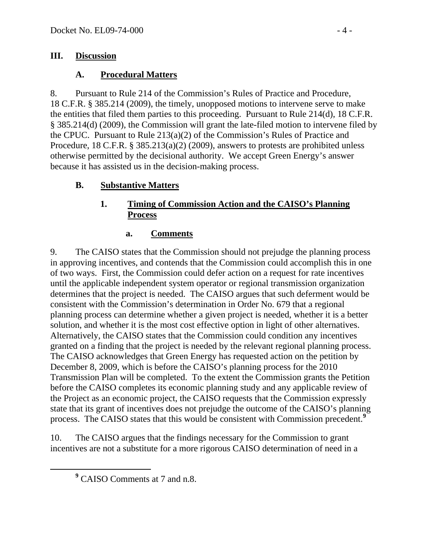#### **III. Discussion**

#### **A. Procedural Matters**

8. Pursuant to Rule 214 of the Commission's Rules of Practice and Procedure, 18 C.F.R. § 385.214 (2009), the timely, unopposed motions to intervene serve to make the entities that filed them parties to this proceeding. Pursuant to Rule 214(d), 18 C.F.R. § 385.214(d) (2009), the Commission will grant the late-filed motion to intervene filed by the CPUC. Pursuant to Rule 213(a)(2) of the Commission's Rules of Practice and Procedure, 18 C.F.R. § 385.213(a)(2) (2009), answers to protests are prohibited unless otherwise permitted by the decisional authority. We accept Green Energy's answer because it has assisted us in the decision-making process.

### **B. Substantive Matters**

## **1. Timing of Commission Action and the CAISO's Planning Process**

#### **a. Comments**

9. The CAISO states that the Commission should not prejudge the planning process in approving incentives, and contends that the Commission could accomplish this in one of two ways. First, the Commission could defer action on a request for rate incentives until the applicable independent system operator or regional transmission organization determines that the project is needed. The CAISO argues that such deferment would be consistent with the Commission's determination in Order No. 679 that a regional planning process can determine whether a given project is needed, whether it is a better solution, and whether it is the most cost effective option in light of other alternatives. Alternatively, the CAISO states that the Commission could condition any incentives granted on a finding that the project is needed by the relevant regional planning process. The CAISO acknowledges that Green Energy has requested action on the petition by December 8, 2009, which is before the CAISO's planning process for the 2010 Transmission Plan will be completed. To the extent the Commission grants the Petition before the CAISO completes its economic planning study and any applicable review of the Project as an economic project, the CAISO requests that the Commission expressly state that its grant of incentives does not prejudge the outcome of the CAISO's planning process. The CAISO states that this would be consistent with Commission precedent.**[9](#page-3-0)**

10. The CAISO argues that the findings necessary for the Commission to grant incentives are not a substitute for a more rigorous CAISO determination of need in a

<span id="page-3-0"></span>**<sup>9</sup>** <sup>9</sup> CAISO Comments at 7 and n.8.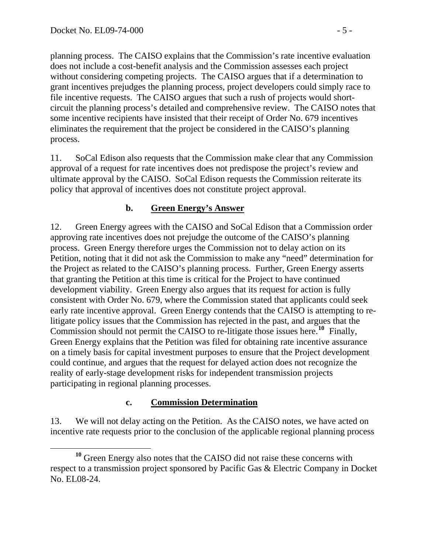planning process. The CAISO explains that the Commission's rate incentive evaluation does not include a cost-benefit analysis and the Commission assesses each project without considering competing projects. The CAISO argues that if a determination to grant incentives prejudges the planning process, project developers could simply race to file incentive requests. The CAISO argues that such a rush of projects would shortcircuit the planning process's detailed and comprehensive review. The CAISO notes that some incentive recipients have insisted that their receipt of Order No. 679 incentives eliminates the requirement that the project be considered in the CAISO's planning process.

11. SoCal Edison also requests that the Commission make clear that any Commission approval of a request for rate incentives does not predispose the project's review and ultimate approval by the CAISO. SoCal Edison requests the Commission reiterate its policy that approval of incentives does not constitute project approval.

### **b. Green Energy's Answer**

12. Green Energy agrees with the CAISO and SoCal Edison that a Commission order approving rate incentives does not prejudge the outcome of the CAISO's planning process. Green Energy therefore urges the Commission not to delay action on its Petition, noting that it did not ask the Commission to make any "need" determination for the Project as related to the CAISO's planning process. Further, Green Energy asserts that granting the Petition at this time is critical for the Project to have continued development viability. Green Energy also argues that its request for action is fully consistent with Order No. 679, where the Commission stated that applicants could seek early rate incentive approval. Green Energy contends that the CAISO is attempting to relitigate policy issues that the Commission has rejected in the past, and argues that the Commission should not permit the CAISO to re-litigate those issues here.**[10](#page-4-0)** Finally, Green Energy explains that the Petition was filed for obtaining rate incentive assurance on a timely basis for capital investment purposes to ensure that the Project development could continue, and argues that the request for delayed action does not recognize the reality of early-stage development risks for independent transmission projects participating in regional planning processes.

#### **c. Commission Determination**

13. We will not delay acting on the Petition. As the CAISO notes, we have acted on incentive rate requests prior to the conclusion of the applicable regional planning process

<span id="page-4-0"></span>**<sup>10</sup>** Green Energy also notes that the CAISO did not raise these concerns with respect to a transmission project sponsored by Pacific Gas & Electric Company in Docket No. EL08-24.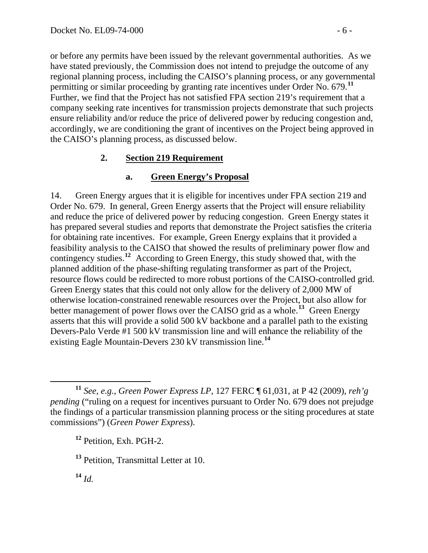or before any permits have been issued by the relevant governmental authorities. As we have stated previously, the Commission does not intend to prejudge the outcome of any regional planning process, including the CAISO's planning process, or any governmental permitting or similar proceeding by granting rate incentives under Order No. 679.**<sup>11</sup>** Further, we find that the Project has not satisfied FPA section 219's requirement that a company seeking rate incentives for transmission projects demonstrate that such projects ensure reliability and/or reduce the price of delivered power by reducing congestion and, accordingly, we are conditioning the grant of incentives on the Project being approved in the CAISO's planning process, as discussed below.

### **2. Section 219 Requirement**

### **a. Green Energy's Proposal**

14. Green Energy argues that it is eligible for incentives under FPA section 219 and Order No. 679. In general, Green Energy asserts that the Project will ensure reliability and reduce the price of delivered power by reducing congestion. Green Energy states it has prepared several studies and reports that demonstrate the Project satisfies the criteria for obtaining rate incentives. For example, Green Energy explains that it provided a feasibility analysis to the CAISO that showed the results of preliminary power flow and contingency studies.**[12](#page-5-0)** According to Green Energy, this study showed that, with the planned addition of the phase-shifting regulating transformer as part of the Project, resource flows could be redirected to more robust portions of the CAISO-controlled grid. Green Energy states that this could not only allow for the delivery of 2,000 MW of otherwise location-constrained renewable resources over the Project, but also allow for better management of power flows over the CAISO grid as a whole.**[13](#page-5-1)** Green Energy asserts that this will provide a solid 500 kV backbone and a parallel path to the existing Devers-Palo Verde #1 500 kV transmission line and will enhance the reliability of the existing Eagle Mountain-Devers 230 kV transmission line.**[14](#page-5-2)**

<span id="page-5-2"></span>**<sup>14</sup>** *Id.*

<span id="page-5-0"></span>**<sup>11</sup>** *See, e.g.*, *Green Power Express LP*, 127 FERC ¶ 61,031, at P 42 (2009), *reh'g pending* ("ruling on a request for incentives pursuant to Order No. 679 does not prejudge the findings of a particular transmission planning process or the siting procedures at state commissions") (*Green Power Express*).

**<sup>12</sup>** Petition, Exh. PGH-2.

<span id="page-5-1"></span>**<sup>13</sup>** Petition, Transmittal Letter at 10.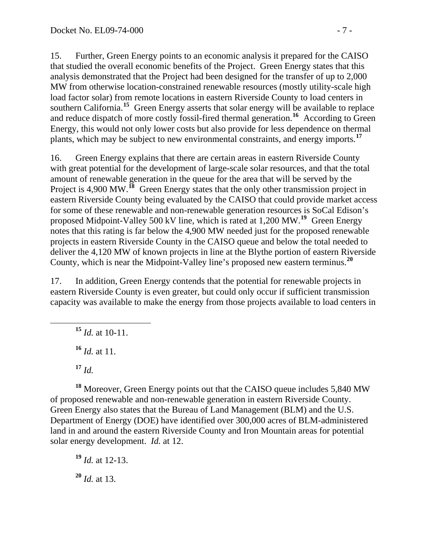15. Further, Green Energy points to an economic analysis it prepared for the CAISO that studied the overall economic benefits of the Project. Green Energy states that this analysis demonstrated that the Project had been designed for the transfer of up to 2,000 MW from otherwise location-constrained renewable resources (mostly utility-scale high load factor solar) from remote locations in eastern Riverside County to load centers in southern California.**[15](#page-6-0)** Green Energy asserts that solar energy will be available to replace and reduce dispatch of more costly fossil-fired thermal generation.**[16](#page-6-1)** According to Green Energy, this would not only lower costs but also provide for less dependence on thermal plants, which may be subject to new environmental constraints, and energy imports.**[17](#page-6-2)**

16. Green Energy explains that there are certain areas in eastern Riverside County with great potential for the development of large-scale solar resources, and that the total amount of renewable generation in the queue for the area that will be served by the Project is 4,900 MW.<sup>[18](#page-6-3)</sup> Green Energy states that the only other transmission project in eastern Riverside County being evaluated by the CAISO that could provide market access for some of these renewable and non-renewable generation resources is SoCal Edison's proposed Midpoint-Valley 500 kV line, which is rated at 1,200 MW.**[19](#page-6-4)** Green Energy notes that this rating is far below the 4,900 MW needed just for the proposed renewable projects in eastern Riverside County in the CAISO queue and below the total needed to deliver the 4,120 MW of known projects in line at the Blythe portion of eastern Riverside County, which is near the Midpoint-Valley line's proposed new eastern terminus.**[20](#page-6-5)**

<span id="page-6-0"></span>17. In addition, Green Energy contends that the potential for renewable projects in eastern Riverside County is even greater, but could only occur if sufficient transmission capacity was available to make the energy from those projects available to load centers in

**<sup>15</sup>** *Id.* at 10-11.

**<sup>16</sup>** *Id.* at 11.

<span id="page-6-3"></span><span id="page-6-2"></span><span id="page-6-1"></span>**<sup>18</sup>** Moreover, Green Energy points out that the CAISO queue includes 5,840 MW of proposed renewable and non-renewable generation in eastern Riverside County. Green Energy also states that the Bureau of Land Management (BLM) and the U.S. Department of Energy (DOE) have identified over 300,000 acres of BLM-administered land in and around the eastern Riverside County and Iron Mountain areas for potential solar energy development. *Id.* at 12.

<span id="page-6-5"></span><span id="page-6-4"></span>**<sup>19</sup>** *Id.* at 12-13. **<sup>20</sup>** *Id.* at 13.

**<sup>17</sup>** *Id.*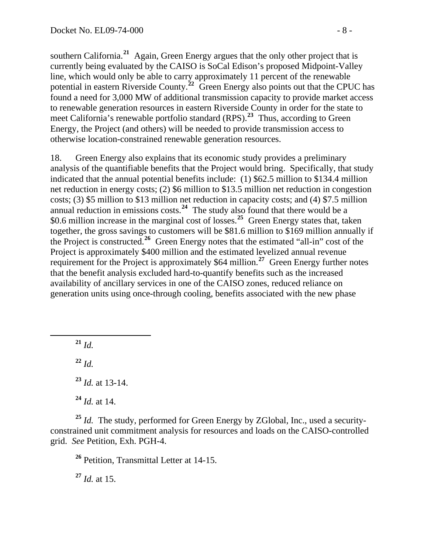southern California.**<sup>21</sup>** Again, Green Energy argues that the only other project that is currently being evaluated by the CAISO is SoCal Edison's proposed Midpoint-Valley line, which would only be able to carry approximately 11 percent of the renewable potential in eastern Riverside County.<sup>22</sup> Green Energy also points out that the CPUC has found a need for 3,000 MW of additional transmission capacity to provide market access to renewable generation resources in eastern Riverside County in order for the state to meet California's renewable portfolio standard (RPS).**<sup>23</sup>** Thus, according to Green Energy, the Project (and others) will be needed to provide transmission access to otherwise location-constrained renewable generation resources.

18. Green Energy also explains that its economic study provides a preliminary analysis of the quantifiable benefits that the Project would bring. Specifically, that study indicated that the annual potential benefits include: (1) \$62.5 million to \$134.4 million net reduction in energy costs; (2) \$6 million to \$13.5 million net reduction in congestion costs; (3) \$5 million to \$13 million net reduction in capacity costs; and (4) \$7.5 million annual reduction in emissions costs.**[24](#page-7-0)** The study also found that there would be a \$0.6 million increase in the marginal cost of losses.<sup>[25](#page-7-1)</sup> Green Energy states that, taken together, the gross savings to customers will be \$81.6 million to \$169 million annually if the Project is constructed.**[26](#page-7-2)** Green Energy notes that the estimated "all-in" cost of the Project is approximately \$400 million and the estimated levelized annual revenue requirement for the Project is approximately \$64 million.**[27](#page-7-3)** Green Energy further notes that the benefit analysis excluded hard-to-quantify benefits such as the increased availability of ancillary services in one of the CAISO zones, reduced reliance on generation units using once-through cooling, benefits associated with the new phase

 **<sup>21</sup>** *Id.* **<sup>22</sup>** *Id.* **<sup>23</sup>** *Id.* at 13-14. **<sup>24</sup>** *Id.* at 14.

<span id="page-7-2"></span><span id="page-7-1"></span><span id="page-7-0"></span>**<sup>25</sup>** *Id.* The study, performed for Green Energy by ZGlobal, Inc., used a securityconstrained unit commitment analysis for resources and loads on the CAISO-controlled grid. *See* Petition, Exh. PGH-4.

**<sup>26</sup>** Petition, Transmittal Letter at 14-15.

<span id="page-7-3"></span>**<sup>27</sup>** *Id.* at 15.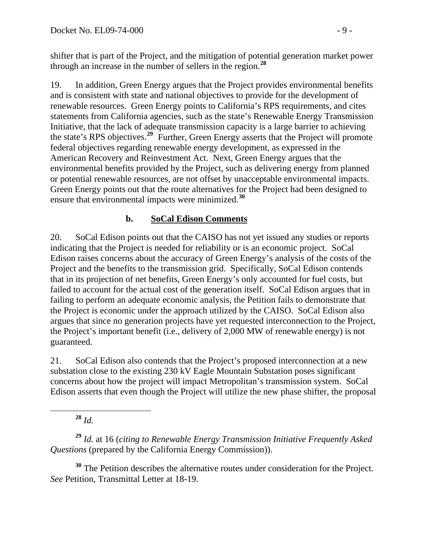shifter that is part of the Project, and the mitigation of potential generation market power through an increase in the number of sellers in the region.**<sup>28</sup>**

19. In addition, Green Energy argues that the Project provides environmental benefits and is consistent with state and national objectives to provide for the development of renewable resources. Green Energy points to California's RPS requirements, and cites statements from California agencies, such as the state's Renewable Energy Transmission Initiative, that the lack of adequate transmission capacity is a large barrier to achieving the state's RPS objectives.**[29](#page-8-0)** Further, Green Energy asserts that the Project will promote federal objectives regarding renewable energy development, as expressed in the American Recovery and Reinvestment Act. Next, Green Energy argues that the environmental benefits provided by the Project, such as delivering energy from planned or potential renewable resources, are not offset by unacceptable environmental impacts. Green Energy points out that the route alternatives for the Project had been designed to ensure that environmental impacts were minimized.**[30](#page-8-1)**

### **b. SoCal Edison Comments**

20. SoCal Edison points out that the CAISO has not yet issued any studies or reports indicating that the Project is needed for reliability or is an economic project. SoCal Edison raises concerns about the accuracy of Green Energy's analysis of the costs of the Project and the benefits to the transmission grid. Specifically, SoCal Edison contends that in its projection of net benefits, Green Energy's only accounted for fuel costs, but failed to account for the actual cost of the generation itself. SoCal Edison argues that in failing to perform an adequate economic analysis, the Petition fails to demonstrate that the Project is economic under the approach utilized by the CAISO. SoCal Edison also argues that since no generation projects have yet requested interconnection to the Project, the Project's important benefit (i.e., delivery of 2,000 MW of renewable energy) is not guaranteed.

21. SoCal Edison also contends that the Project's proposed interconnection at a new substation close to the existing 230 kV Eagle Mountain Substation poses significant concerns about how the project will impact Metropolitan's transmission system. SoCal Edison asserts that even though the Project will utilize the new phase shifter, the proposal

**<sup>28</sup>** *Id.*

<span id="page-8-0"></span>**<sup>29</sup>** *Id.* at 16 (*citing to Renewable Energy Transmission Initiative Frequently Asked Questions* (prepared by the California Energy Commission)).

<span id="page-8-1"></span>**<sup>30</sup>** The Petition describes the alternative routes under consideration for the Project. *See* Petition, Transmittal Letter at 18-19.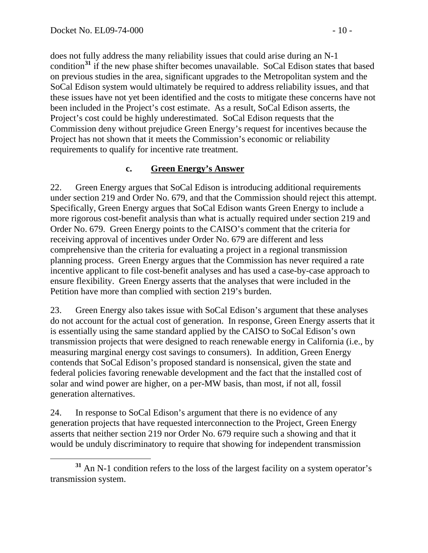does not fully address the many reliability issues that could arise during an N-1 condition**<sup>31</sup>** if the new phase shifter becomes unavailable. SoCal Edison states that based on previous studies in the area, significant upgrades to the Metropolitan system and the SoCal Edison system would ultimately be required to address reliability issues, and that these issues have not yet been identified and the costs to mitigate these concerns have not been included in the Project's cost estimate. As a result, SoCal Edison asserts, the Project's cost could be highly underestimated. SoCal Edison requests that the Commission deny without prejudice Green Energy's request for incentives because the Project has not shown that it meets the Commission's economic or reliability requirements to qualify for incentive rate treatment.

### **c. Green Energy's Answer**

22. Green Energy argues that SoCal Edison is introducing additional requirements under section 219 and Order No. 679, and that the Commission should reject this attempt. Specifically, Green Energy argues that SoCal Edison wants Green Energy to include a more rigorous cost-benefit analysis than what is actually required under section 219 and Order No. 679. Green Energy points to the CAISO's comment that the criteria for receiving approval of incentives under Order No. 679 are different and less comprehensive than the criteria for evaluating a project in a regional transmission planning process. Green Energy argues that the Commission has never required a rate incentive applicant to file cost-benefit analyses and has used a case-by-case approach to ensure flexibility. Green Energy asserts that the analyses that were included in the Petition have more than complied with section 219's burden.

23. Green Energy also takes issue with SoCal Edison's argument that these analyses do not account for the actual cost of generation. In response, Green Energy asserts that it is essentially using the same standard applied by the CAISO to SoCal Edison's own transmission projects that were designed to reach renewable energy in California (i.e., by measuring marginal energy cost savings to consumers). In addition, Green Energy contends that SoCal Edison's proposed standard is nonsensical, given the state and federal policies favoring renewable development and the fact that the installed cost of solar and wind power are higher, on a per-MW basis, than most, if not all, fossil generation alternatives.

24. In response to SoCal Edison's argument that there is no evidence of any generation projects that have requested interconnection to the Project, Green Energy asserts that neither section 219 nor Order No. 679 require such a showing and that it would be unduly discriminatory to require that showing for independent transmission

**<sup>31</sup>** An N-1 condition refers to the loss of the largest facility on a system operator's transmission system.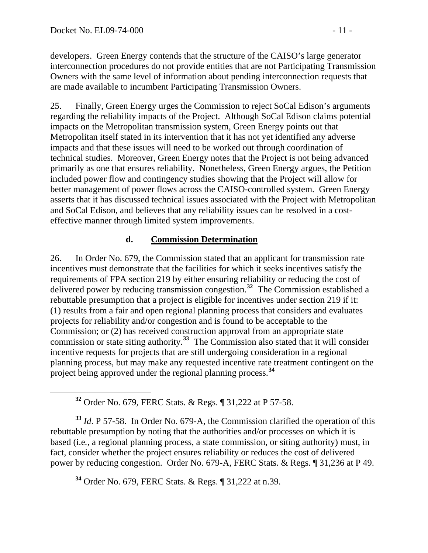developers. Green Energy contends that the structure of the CAISO's large generator interconnection procedures do not provide entities that are not Participating Transmission Owners with the same level of information about pending interconnection requests that are made available to incumbent Participating Transmission Owners.

25. Finally, Green Energy urges the Commission to reject SoCal Edison's arguments regarding the reliability impacts of the Project. Although SoCal Edison claims potential impacts on the Metropolitan transmission system, Green Energy points out that Metropolitan itself stated in its intervention that it has not yet identified any adverse impacts and that these issues will need to be worked out through coordination of technical studies. Moreover, Green Energy notes that the Project is not being advanced primarily as one that ensures reliability. Nonetheless, Green Energy argues, the Petition included power flow and contingency studies showing that the Project will allow for better management of power flows across the CAISO-controlled system. Green Energy asserts that it has discussed technical issues associated with the Project with Metropolitan and SoCal Edison, and believes that any reliability issues can be resolved in a costeffective manner through limited system improvements.

### **d. Commission Determination**

26. In Order No. 679, the Commission stated that an applicant for transmission rate incentives must demonstrate that the facilities for which it seeks incentives satisfy the requirements of FPA section 219 by either ensuring reliability or reducing the cost of delivered power by reducing transmission congestion.**[32](#page-10-0)** The Commission established a rebuttable presumption that a project is eligible for incentives under section 219 if it: (1) results from a fair and open regional planning process that considers and evaluates projects for reliability and/or congestion and is found to be acceptable to the Commission; or (2) has received construction approval from an appropriate state commission or state siting authority.**[33](#page-10-1)** The Commission also stated that it will consider incentive requests for projects that are still undergoing consideration in a regional planning process, but may make any requested incentive rate treatment contingent on the project being approved under the regional planning process.**[34](#page-10-2)**

**<sup>32</sup>** Order No. 679, FERC Stats. & Regs. ¶ 31,222 at P 57-58.

<span id="page-10-1"></span><span id="page-10-0"></span>**<sup>33</sup>** *Id*. P 57-58. In Order No. 679-A, the Commission clarified the operation of this rebuttable presumption by noting that the authorities and/or processes on which it is based (i.e*.*, a regional planning process, a state commission, or siting authority) must, in fact, consider whether the project ensures reliability or reduces the cost of delivered power by reducing congestion. Order No. 679-A, FERC Stats. & Regs. ¶ 31,236 at P 49.

<span id="page-10-2"></span>**<sup>34</sup>** Order No. 679, FERC Stats. & Regs. ¶ 31,222 at n.39.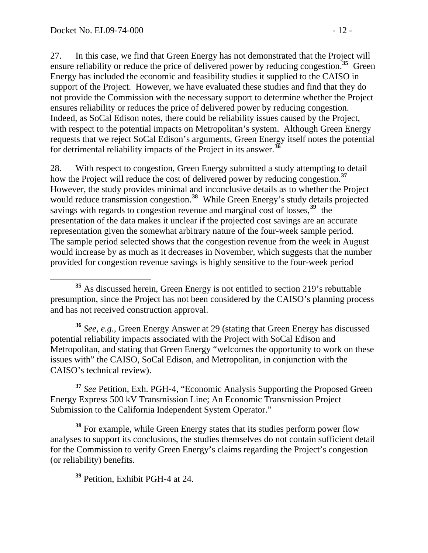27. In this case, we find that Green Energy has not demonstrated that the Project will ensure reliability or reduce the price of delivered power by reducing congestion.**[35](#page-11-0)** Green Energy has included the economic and feasibility studies it supplied to the CAISO in support of the Project. However, we have evaluated these studies and find that they do not provide the Commission with the necessary support to determine whether the Project ensures reliability or reduces the price of delivered power by reducing congestion. Indeed, as SoCal Edison notes, there could be reliability issues caused by the Project, with respect to the potential impacts on Metropolitan's system. Although Green Energy requests that we reject SoCal Edison's arguments, Green Energy itself notes the potential for detrimental reliability impacts of the Project in its answer.**[36](#page-11-1)**

28. With respect to congestion, Green Energy submitted a study attempting to detail how the Project will reduce the cost of delivered power by reducing congestion.**[37](#page-11-2)** However, the study provides minimal and inconclusive details as to whether the Project would reduce transmission congestion.<sup>[38](#page-11-3)</sup> While Green Energy's study details projected savings with regards to congestion revenue and marginal cost of losses,**[39](#page-11-4)** the presentation of the data makes it unclear if the projected cost savings are an accurate representation given the somewhat arbitrary nature of the four-week sample period. The sample period selected shows that the congestion revenue from the week in August would increase by as much as it decreases in November, which suggests that the number provided for congestion revenue savings is highly sensitive to the four-week period

<span id="page-11-1"></span>**<sup>36</sup>** *See, e.g.*, Green Energy Answer at 29 (stating that Green Energy has discussed potential reliability impacts associated with the Project with SoCal Edison and Metropolitan, and stating that Green Energy "welcomes the opportunity to work on these issues with" the CAISO, SoCal Edison, and Metropolitan, in conjunction with the CAISO's technical review).

<span id="page-11-2"></span>**<sup>37</sup>** *See* Petition, Exh. PGH-4, "Economic Analysis Supporting the Proposed Green Energy Express 500 kV Transmission Line; An Economic Transmission Project Submission to the California Independent System Operator."

<span id="page-11-4"></span><span id="page-11-3"></span>**<sup>38</sup>** For example, while Green Energy states that its studies perform power flow analyses to support its conclusions, the studies themselves do not contain sufficient detail for the Commission to verify Green Energy's claims regarding the Project's congestion (or reliability) benefits.

**<sup>39</sup>** Petition, Exhibit PGH-4 at 24.

<span id="page-11-0"></span>**<sup>35</sup>** As discussed herein, Green Energy is not entitled to section 219's rebuttable presumption, since the Project has not been considered by the CAISO's planning process and has not received construction approval.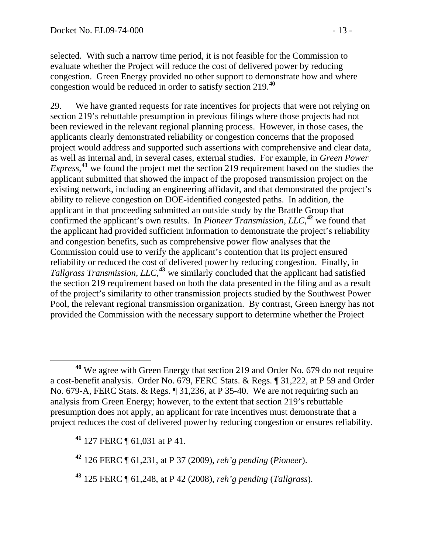selected. With such a narrow time period, it is not feasible for the Commission to evaluate whether the Project will reduce the cost of delivered power by reducing congestion. Green Energy provided no other support to demonstrate how and where congestion would be reduced in order to satisfy section 219.**<sup>40</sup>**

29. We have granted requests for rate incentives for projects that were not relying on section 219's rebuttable presumption in previous filings where those projects had not been reviewed in the relevant regional planning process. However, in those cases, the applicants clearly demonstrated reliability or congestion concerns that the proposed project would address and supported such assertions with comprehensive and clear data, as well as internal and, in several cases, external studies. For example, in *Green Power*  Express,<sup>[41](#page-12-0)</sup> we found the project met the section 219 requirement based on the studies the applicant submitted that showed the impact of the proposed transmission project on the existing network, including an engineering affidavit, and that demonstrated the project's ability to relieve congestion on DOE-identified congested paths. In addition, the applicant in that proceeding submitted an outside study by the Brattle Group that confirmed the applicant's own results. In *Pioneer Transmission, LLC*,<sup>[42](#page-12-1)</sup> we found that the applicant had provided sufficient information to demonstrate the project's reliability and congestion benefits, such as comprehensive power flow analyses that the Commission could use to verify the applicant's contention that its project ensured reliability or reduced the cost of delivered power by reducing congestion. Finally, in *Tallgrass Transmission, LLC*, **[43](#page-12-2)** we similarly concluded that the applicant had satisfied the section 219 requirement based on both the data presented in the filing and as a result of the project's similarity to other transmission projects studied by the Southwest Power Pool, the relevant regional transmission organization. By contrast, Green Energy has not provided the Commission with the necessary support to determine whether the Project

**<sup>40</sup>** We agree with Green Energy that section 219 and Order No. 679 do not require a cost-benefit analysis. Order No. 679, FERC Stats. & Regs. ¶ 31,222, at P 59 and Order No. 679-A, FERC Stats. & Regs. ¶ 31,236, at P 35-40. We are not requiring such an analysis from Green Energy; however, to the extent that section 219's rebuttable presumption does not apply, an applicant for rate incentives must demonstrate that a project reduces the cost of delivered power by reducing congestion or ensures reliability.

<span id="page-12-0"></span>**<sup>41</sup>** 127 FERC ¶ 61,031 at P 41.

<span id="page-12-1"></span>**<sup>42</sup>** 126 FERC ¶ 61,231, at P 37 (2009), *reh'g pending* (*Pioneer*).

<span id="page-12-2"></span>**<sup>43</sup>** 125 FERC ¶ 61,248, at P 42 (2008), *reh'g pending* (*Tallgrass*).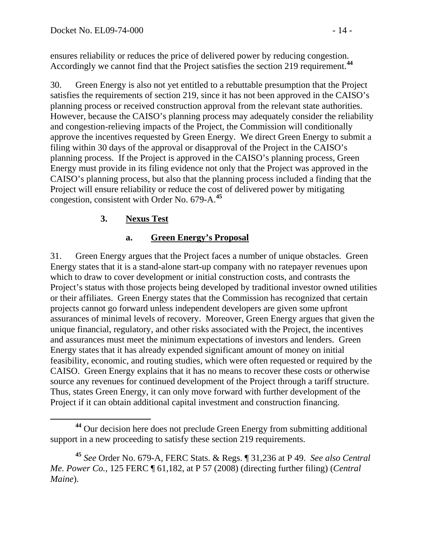ensures reliability or reduces the price of delivered power by reducing congestion. Accordingly we cannot find that the Project satisfies the section 219 requirement.**<sup>44</sup>**

30. Green Energy is also not yet entitled to a rebuttable presumption that the Project satisfies the requirements of section 219, since it has not been approved in the CAISO's planning process or received construction approval from the relevant state authorities. However, because the CAISO's planning process may adequately consider the reliability and congestion-relieving impacts of the Project, the Commission will conditionally approve the incentives requested by Green Energy. We direct Green Energy to submit a filing within 30 days of the approval or disapproval of the Project in the CAISO's planning process. If the Project is approved in the CAISO's planning process, Green Energy must provide in its filing evidence not only that the Project was approved in the CAISO's planning process, but also that the planning process included a finding that the Project will ensure reliability or reduce the cost of delivered power by mitigating congestion, consistent with Order No. 679-A.**[45](#page-13-0)**

## **3. Nexus Test**

### **a. Green Energy's Proposal**

31. Green Energy argues that the Project faces a number of unique obstacles. Green Energy states that it is a stand-alone start-up company with no ratepayer revenues upon which to draw to cover development or initial construction costs, and contrasts the Project's status with those projects being developed by traditional investor owned utilities or their affiliates. Green Energy states that the Commission has recognized that certain projects cannot go forward unless independent developers are given some upfront assurances of minimal levels of recovery. Moreover, Green Energy argues that given the unique financial, regulatory, and other risks associated with the Project, the incentives and assurances must meet the minimum expectations of investors and lenders. Green Energy states that it has already expended significant amount of money on initial feasibility, economic, and routing studies, which were often requested or required by the CAISO. Green Energy explains that it has no means to recover these costs or otherwise source any revenues for continued development of the Project through a tariff structure. Thus, states Green Energy, it can only move forward with further development of the Project if it can obtain additional capital investment and construction financing.

**<sup>44</sup>** Our decision here does not preclude Green Energy from submitting additional support in a new proceeding to satisfy these section 219 requirements.

<span id="page-13-0"></span>**<sup>45</sup>** *See* Order No. 679-A, FERC Stats. & Regs. ¶ 31,236 at P 49. *See also Central Me. Power Co.*, 125 FERC ¶ 61,182, at P 57 (2008) (directing further filing) (*Central Maine*).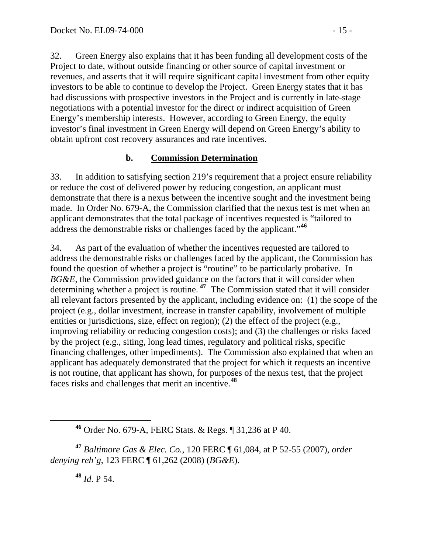32. Green Energy also explains that it has been funding all development costs of the Project to date, without outside financing or other source of capital investment or revenues, and asserts that it will require significant capital investment from other equity investors to be able to continue to develop the Project. Green Energy states that it has had discussions with prospective investors in the Project and is currently in late-stage negotiations with a potential investor for the direct or indirect acquisition of Green Energy's membership interests. However, according to Green Energy, the equity investor's final investment in Green Energy will depend on Green Energy's ability to obtain upfront cost recovery assurances and rate incentives.

## **b. Commission Determination**

33. In addition to satisfying section 219's requirement that a project ensure reliability or reduce the cost of delivered power by reducing congestion, an applicant must demonstrate that there is a nexus between the incentive sought and the investment being made. In Order No. 679-A, the Commission clarified that the nexus test is met when an applicant demonstrates that the total package of incentives requested is "tailored to address the demonstrable risks or challenges faced by the applicant."**[46](#page-14-0)**

34. As part of the evaluation of whether the incentives requested are tailored to address the demonstrable risks or challenges faced by the applicant, the Commission has found the question of whether a project is "routine" to be particularly probative. In *BG&E*, the Commission provided guidance on the factors that it will consider when determining whether a project is routine. **[47](#page-14-1)** The Commission stated that it will consider all relevant factors presented by the applicant, including evidence on: (1) the scope of the project (e.g., dollar investment, increase in transfer capability, involvement of multiple entities or jurisdictions, size, effect on region); (2) the effect of the project (e.g., improving reliability or reducing congestion costs); and (3) the challenges or risks faced by the project (e.g., siting, long lead times, regulatory and political risks, specific financing challenges, other impediments). The Commission also explained that when an applicant has adequately demonstrated that the project for which it requests an incentive is not routine, that applicant has shown, for purposes of the nexus test, that the project faces risks and challenges that merit an incentive.**[48](#page-14-2)**

<span id="page-14-2"></span><span id="page-14-1"></span><span id="page-14-0"></span>**<sup>47</sup>** *Baltimore Gas & Elec. Co.*, 120 FERC ¶ 61,084, at P 52-55 (2007), *order denying reh'g*, 123 FERC ¶ 61,262 (2008) (*BG&E*).

**<sup>48</sup>** *Id*. P 54.

**<sup>46</sup>** Order No. 679-A, FERC Stats. & Regs. ¶ 31,236 at P 40.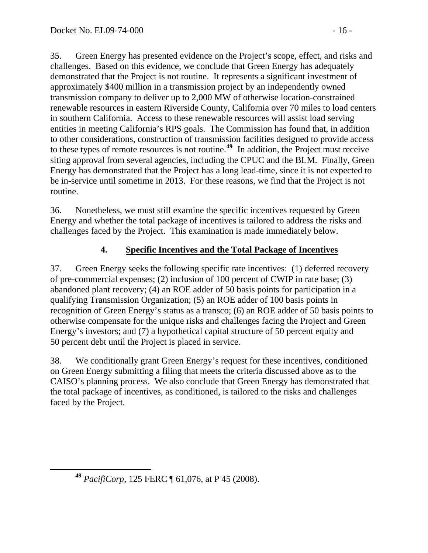35. Green Energy has presented evidence on the Project's scope, effect, and risks and challenges. Based on this evidence, we conclude that Green Energy has adequately demonstrated that the Project is not routine. It represents a significant investment of approximately \$400 million in a transmission project by an independently owned transmission company to deliver up to 2,000 MW of otherwise location-constrained renewable resources in eastern Riverside County, California over 70 miles to load centers in southern California. Access to these renewable resources will assist load serving entities in meeting California's RPS goals. The Commission has found that, in addition to other considerations, construction of transmission facilities designed to provide access to these types of remote resources is not routine.**[49](#page-15-0)** In addition, the Project must receive siting approval from several agencies, including the CPUC and the BLM. Finally, Green Energy has demonstrated that the Project has a long lead-time, since it is not expected to be in-service until sometime in 2013. For these reasons, we find that the Project is not routine.

36. Nonetheless, we must still examine the specific incentives requested by Green Energy and whether the total package of incentives is tailored to address the risks and challenges faced by the Project. This examination is made immediately below.

# **4. Specific Incentives and the Total Package of Incentives**

37. Green Energy seeks the following specific rate incentives: (1) deferred recovery of pre-commercial expenses; (2) inclusion of 100 percent of CWIP in rate base; (3) abandoned plant recovery; (4) an ROE adder of 50 basis points for participation in a qualifying Transmission Organization; (5) an ROE adder of 100 basis points in recognition of Green Energy's status as a transco; (6) an ROE adder of 50 basis points to otherwise compensate for the unique risks and challenges facing the Project and Green Energy's investors; and (7) a hypothetical capital structure of 50 percent equity and 50 percent debt until the Project is placed in service.

38. We conditionally grant Green Energy's request for these incentives, conditioned on Green Energy submitting a filing that meets the criteria discussed above as to the CAISO's planning process. We also conclude that Green Energy has demonstrated that the total package of incentives, as conditioned, is tailored to the risks and challenges faced by the Project.

<span id="page-15-0"></span>**<sup>49</sup>** *PacifiCorp*, 125 FERC ¶ 61,076, at P 45 (2008).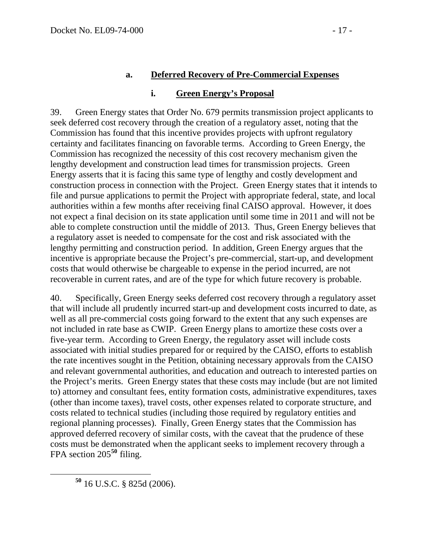#### **a. Deferred Recovery of Pre-Commercial Expenses**

#### **i. Green Energy's Proposal**

39. Green Energy states that Order No. 679 permits transmission project applicants to seek deferred cost recovery through the creation of a regulatory asset, noting that the Commission has found that this incentive provides projects with upfront regulatory certainty and facilitates financing on favorable terms. According to Green Energy, the Commission has recognized the necessity of this cost recovery mechanism given the lengthy development and construction lead times for transmission projects. Green Energy asserts that it is facing this same type of lengthy and costly development and construction process in connection with the Project. Green Energy states that it intends to file and pursue applications to permit the Project with appropriate federal, state, and local authorities within a few months after receiving final CAISO approval. However, it does not expect a final decision on its state application until some time in 2011 and will not be able to complete construction until the middle of 2013. Thus, Green Energy believes that a regulatory asset is needed to compensate for the cost and risk associated with the lengthy permitting and construction period. In addition, Green Energy argues that the incentive is appropriate because the Project's pre-commercial, start-up, and development costs that would otherwise be chargeable to expense in the period incurred, are not recoverable in current rates, and are of the type for which future recovery is probable.

40. Specifically, Green Energy seeks deferred cost recovery through a regulatory asset that will include all prudently incurred start-up and development costs incurred to date, as well as all pre-commercial costs going forward to the extent that any such expenses are not included in rate base as CWIP. Green Energy plans to amortize these costs over a five-year term. According to Green Energy, the regulatory asset will include costs associated with initial studies prepared for or required by the CAISO, efforts to establish the rate incentives sought in the Petition, obtaining necessary approvals from the CAISO and relevant governmental authorities, and education and outreach to interested parties on the Project's merits. Green Energy states that these costs may include (but are not limited to) attorney and consultant fees, entity formation costs, administrative expenditures, taxes (other than income taxes), travel costs, other expenses related to corporate structure, and costs related to technical studies (including those required by regulatory entities and regional planning processes). Finally, Green Energy states that the Commission has approved deferred recovery of similar costs, with the caveat that the prudence of these costs must be demonstrated when the applicant seeks to implement recovery through a FPA section 205**[50](#page-16-0)** filing.

<span id="page-16-0"></span>**<sup>50</sup>** 16 U.S.C. § 825d (2006).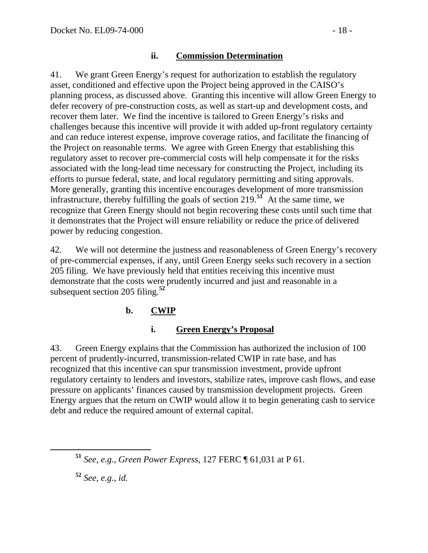#### **ii. Commission Determination**

41. We grant Green Energy's request for authorization to establish the regulatory asset, conditioned and effective upon the Project being approved in the CAISO's planning process, as discussed above. Granting this incentive will allow Green Energy to defer recovery of pre-construction costs, as well as start-up and development costs, and recover them later. We find the incentive is tailored to Green Energy's risks and challenges because this incentive will provide it with added up-front regulatory certainty and can reduce interest expense, improve coverage ratios, and facilitate the financing of the Project on reasonable terms. We agree with Green Energy that establishing this regulatory asset to recover pre-commercial costs will help compensate it for the risks associated with the long-lead time necessary for constructing the Project, including its efforts to pursue federal, state, and local regulatory permitting and siting approvals. More generally, granting this incentive encourages development of more transmission infrastructure, thereby fulfilling the goals of section 219.**[51](#page-17-0)** At the same time, we recognize that Green Energy should not begin recovering these costs until such time that it demonstrates that the Project will ensure reliability or reduce the price of delivered power by reducing congestion.

42. We will not determine the justness and reasonableness of Green Energy's recovery of pre-commercial expenses, if any, until Green Energy seeks such recovery in a section 205 filing. We have previously held that entities receiving this incentive must demonstrate that the costs were prudently incurred and just and reasonable in a subsequent section 205 filing.**[52](#page-17-1)**

## **b. CWIP**

## **i. Green Energy's Proposal**

43. Green Energy explains that the Commission has authorized the inclusion of 100 percent of prudently-incurred, transmission-related CWIP in rate base, and has recognized that this incentive can spur transmission investment, provide upfront regulatory certainty to lenders and investors, stabilize rates, improve cash flows, and ease pressure on applicants' finances caused by transmission development projects. Green Energy argues that the return on CWIP would allow it to begin generating cash to service debt and reduce the required amount of external capital.

<span id="page-17-1"></span>**<sup>52</sup>** *See, e.g.*, *id.*

<span id="page-17-0"></span>**<sup>51</sup>** *See, e.g.*, *Green Power Express*, 127 FERC ¶ 61,031 at P 61.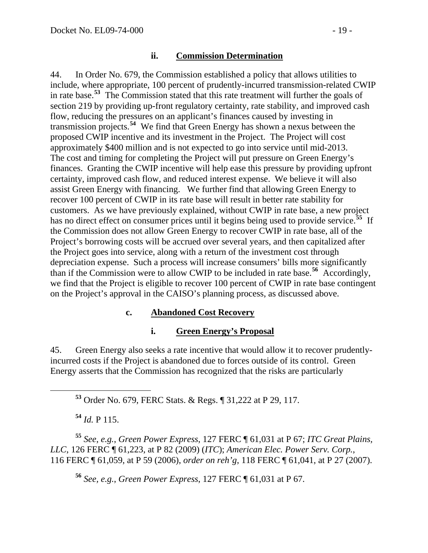#### **ii. Commission Determination**

44. In Order No. 679, the Commission established a policy that allows utilities to include, where appropriate, 100 percent of prudently-incurred transmission-related CWIP in rate base.**[53](#page-18-0)** The Commission stated that this rate treatment will further the goals of section 219 by providing up-front regulatory certainty, rate stability, and improved cash flow, reducing the pressures on an applicant's finances caused by investing in transmission projects.**[54](#page-18-1)** We find that Green Energy has shown a nexus between the proposed CWIP incentive and its investment in the Project. The Project will cost approximately \$400 million and is not expected to go into service until mid-2013. The cost and timing for completing the Project will put pressure on Green Energy's finances. Granting the CWIP incentive will help ease this pressure by providing upfront certainty, improved cash flow, and reduced interest expense. We believe it will also assist Green Energy with financing. We further find that allowing Green Energy to recover 100 percent of CWIP in its rate base will result in better rate stability for customers. As we have previously explained, without CWIP in rate base, a new project has no direct effect on consumer prices until it begins being used to provide service.<sup>[55](#page-18-2)</sup> If the Commission does not allow Green Energy to recover CWIP in rate base, all of the Project's borrowing costs will be accrued over several years, and then capitalized after the Project goes into service, along with a return of the investment cost through depreciation expense. Such a process will increase consumers' bills more significantly than if the Commission were to allow CWIP to be included in rate base.**[56](#page-18-3)** Accordingly, we find that the Project is eligible to recover 100 percent of CWIP in rate base contingent on the Project's approval in the CAISO's planning process, as discussed above.

#### **c. Abandoned Cost Recovery**

#### **i. Green Energy's Proposal**

45. Green Energy also seeks a rate incentive that would allow it to recover prudentlyincurred costs if the Project is abandoned due to forces outside of its control. Green Energy asserts that the Commission has recognized that the risks are particularly

**<sup>53</sup>** Order No. 679, FERC Stats. & Regs. ¶ 31,222 at P 29, 117.

**<sup>54</sup>** *Id.* P 115.

<span id="page-18-3"></span><span id="page-18-2"></span><span id="page-18-1"></span><span id="page-18-0"></span>**<sup>55</sup>** *See*, *e.g.*, *Green Power Express*, 127 FERC ¶ 61,031 at P 67; *ITC Great Plains, LLC*, 126 FERC ¶ 61,223, at P 82 (2009) (*ITC*); *American Elec. Power Serv. Corp.*, 116 FERC ¶ 61,059, at P 59 (2006), *order on reh'g*, 118 FERC ¶ 61,041, at P 27 (2007).

**<sup>56</sup>** *See, e.g.*, *Green Power Express*, 127 FERC ¶ 61,031 at P 67.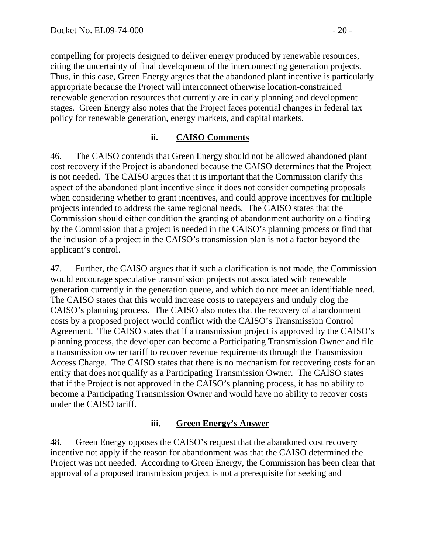compelling for projects designed to deliver energy produced by renewable resources, citing the uncertainty of final development of the interconnecting generation projects. Thus, in this case, Green Energy argues that the abandoned plant incentive is particularly appropriate because the Project will interconnect otherwise location-constrained renewable generation resources that currently are in early planning and development stages. Green Energy also notes that the Project faces potential changes in federal tax policy for renewable generation, energy markets, and capital markets.

## **ii. CAISO Comments**

46. The CAISO contends that Green Energy should not be allowed abandoned plant cost recovery if the Project is abandoned because the CAISO determines that the Project is not needed. The CAISO argues that it is important that the Commission clarify this aspect of the abandoned plant incentive since it does not consider competing proposals when considering whether to grant incentives, and could approve incentives for multiple projects intended to address the same regional needs. The CAISO states that the Commission should either condition the granting of abandonment authority on a finding by the Commission that a project is needed in the CAISO's planning process or find that the inclusion of a project in the CAISO's transmission plan is not a factor beyond the applicant's control.

47. Further, the CAISO argues that if such a clarification is not made, the Commission would encourage speculative transmission projects not associated with renewable generation currently in the generation queue, and which do not meet an identifiable need. The CAISO states that this would increase costs to ratepayers and unduly clog the CAISO's planning process. The CAISO also notes that the recovery of abandonment costs by a proposed project would conflict with the CAISO's Transmission Control Agreement. The CAISO states that if a transmission project is approved by the CAISO's planning process, the developer can become a Participating Transmission Owner and file a transmission owner tariff to recover revenue requirements through the Transmission Access Charge. The CAISO states that there is no mechanism for recovering costs for an entity that does not qualify as a Participating Transmission Owner. The CAISO states that if the Project is not approved in the CAISO's planning process, it has no ability to become a Participating Transmission Owner and would have no ability to recover costs under the CAISO tariff.

#### **iii. Green Energy's Answer**

48. Green Energy opposes the CAISO's request that the abandoned cost recovery incentive not apply if the reason for abandonment was that the CAISO determined the Project was not needed. According to Green Energy, the Commission has been clear that approval of a proposed transmission project is not a prerequisite for seeking and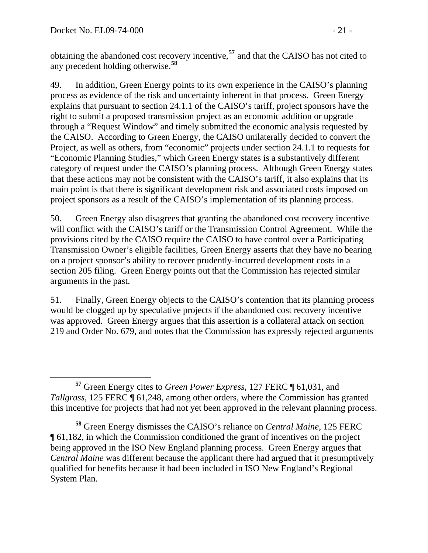obtaining the abandoned cost recovery incentive,**<sup>57</sup>** and that the CAISO has not cited to any precedent holding otherwise.**<sup>58</sup>**

49. In addition, Green Energy points to its own experience in the CAISO's planning process as evidence of the risk and uncertainty inherent in that process. Green Energy explains that pursuant to section 24.1.1 of the CAISO's tariff, project sponsors have the right to submit a proposed transmission project as an economic addition or upgrade through a "Request Window" and timely submitted the economic analysis requested by the CAISO. According to Green Energy, the CAISO unilaterally decided to convert the Project, as well as others, from "economic" projects under section 24.1.1 to requests for "Economic Planning Studies," which Green Energy states is a substantively different category of request under the CAISO's planning process. Although Green Energy states that these actions may not be consistent with the CAISO's tariff, it also explains that its main point is that there is significant development risk and associated costs imposed on project sponsors as a result of the CAISO's implementation of its planning process.

50. Green Energy also disagrees that granting the abandoned cost recovery incentive will conflict with the CAISO's tariff or the Transmission Control Agreement. While the provisions cited by the CAISO require the CAISO to have control over a Participating Transmission Owner's eligible facilities, Green Energy asserts that they have no bearing on a project sponsor's ability to recover prudently-incurred development costs in a section 205 filing. Green Energy points out that the Commission has rejected similar arguments in the past.

51. Finally, Green Energy objects to the CAISO's contention that its planning process would be clogged up by speculative projects if the abandoned cost recovery incentive was approved. Green Energy argues that this assertion is a collateral attack on section 219 and Order No. 679, and notes that the Commission has expressly rejected arguments

**<sup>57</sup>** Green Energy cites to *Green Power Express*, 127 FERC ¶ 61,031, and *Tallgrass*, 125 FERC ¶ 61,248, among other orders, where the Commission has granted this incentive for projects that had not yet been approved in the relevant planning process.

**<sup>58</sup>** Green Energy dismisses the CAISO's reliance on *Central Maine*, 125 FERC ¶ 61,182, in which the Commission conditioned the grant of incentives on the project being approved in the ISO New England planning process. Green Energy argues that *Central Maine* was different because the applicant there had argued that it presumptively qualified for benefits because it had been included in ISO New England's Regional System Plan.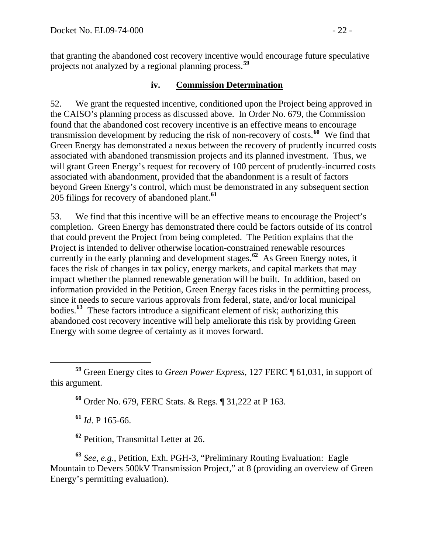that granting the abandoned cost recovery incentive would encourage future speculative projects not analyzed by a regional planning process.**<sup>59</sup>**

#### **iv. Commission Determination**

52. We grant the requested incentive, conditioned upon the Project being approved in the CAISO's planning process as discussed above. In Order No. 679, the Commission found that the abandoned cost recovery incentive is an effective means to encourage transmission development by reducing the risk of non-recovery of costs.**[60](#page-21-0)** We find that Green Energy has demonstrated a nexus between the recovery of prudently incurred costs associated with abandoned transmission projects and its planned investment. Thus, we will grant Green Energy's request for recovery of 100 percent of prudently-incurred costs associated with abandonment, provided that the abandonment is a result of factors beyond Green Energy's control, which must be demonstrated in any subsequent section 205 filings for recovery of abandoned plant.**[61](#page-21-1)**

53. We find that this incentive will be an effective means to encourage the Project's completion. Green Energy has demonstrated there could be factors outside of its control that could prevent the Project from being completed. The Petition explains that the Project is intended to deliver otherwise location-constrained renewable resources currently in the early planning and development stages.**[62](#page-21-2)** As Green Energy notes, it faces the risk of changes in tax policy, energy markets, and capital markets that may impact whether the planned renewable generation will be built. In addition, ba sed on information provided in the Petition, Green Energy faces risks in the permitting process, since it needs to secure various approvals from federal, state, and/or local municipal bodies. **[63](#page-21-3)** These factors introduce a significant element of risk; authorizing this abandoned cost recovery incentive will help ameliorate this risk by providing Green Energy with some degree of certainty as it moves forward.

**<sup>60</sup>** Order No. 679, FERC Stats. & Regs. ¶ 31,222 at P 163.

**<sup>61</sup>** *Id*. P 165-66.

**<sup>62</sup>** Petition, Transmittal Letter at 26.

<span id="page-21-3"></span><span id="page-21-2"></span><span id="page-21-1"></span>**<sup>63</sup>** *See, e.g.*, Petition, Exh. PGH-3, "Preliminary Routing Evaluation: Eagle Mountain to Devers 500kV Transmission Project," at 8 (providing an overview of Green Energy's permitting evaluation).

<span id="page-21-0"></span>**<sup>59</sup>** Green Energy cites to *Green Power Express*, 127 FERC ¶ 61,031, in support of this argument.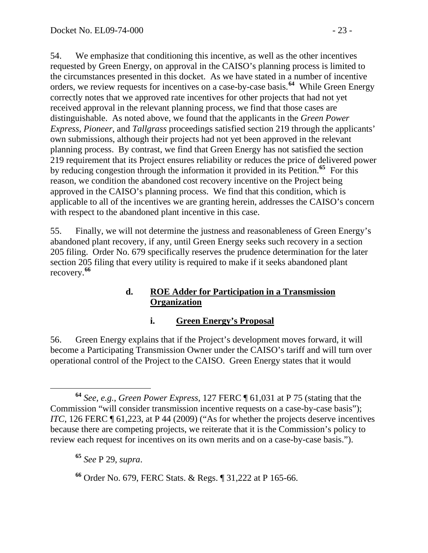54. We emphasize that conditioning this incentive, as well as the other incentives requested by Green Energy, on approval in the CAISO's planning process is limited to the circumstances presented in this docket. As we have stated in a number of incentive orders, we review requests for incentives on a case-by-case basis.**[64](#page-22-0)** While Green Energy correctly notes that we approved rate incentives for other projects that had not yet received approval in the relevant planning process, we find that those cases are distinguishable. As noted above, we found that the applicants in the *Green Power Express*, *Pioneer*, and *Tallgrass* proceedings satisfied section 219 through the applicants' own submissions, although their projects had not yet been approved in the relevant planning process. By contrast, we find that Green Energy has not satisfied the section 219 requirement that its Project ensures reliability or reduces the price of delivered power by reducing congestion through the information it provided in its Petition.**[65](#page-22-1)** For this reason, we condition the abandoned cost recovery incentive on the Project being approved in the CAISO's planning process. We find that this condition, which is applicable to all of the incentives we are granting herein, addresses the CAISO's concern with respect to the abandoned plant incentive in this case.

55. Finally, we will not determine the justness and reasonableness of Green Energy's abandoned plant recovery, if any, until Green Energy seeks such recovery in a section 205 filing. Order No. 679 specifically reserves the prudence determination for the later section 205 filing that every utility is required to make if it seeks abandoned plant recovery.**[66](#page-22-2)**

#### **d. ROE Adder for Participation in a Transmission Organization**

## **i. Green Energy's Proposal**

56. Green Energy explains that if the Project's development moves forward, it will become a Participating Transmission Owner under the CAISO's tariff and will turn over operational control of the Project to the CAISO. Green Energy states that it would

<span id="page-22-1"></span>**<sup>65</sup>** *See* P 29, *supra*.

<span id="page-22-0"></span>**<sup>64</sup>** *See, e.g.*, *Green Power Express*, 127 FERC ¶ 61,031 at P 75 (stating that the Commission "will consider transmission incentive requests on a case-by-case basis"); *ITC*, 126 FERC ¶ 61,223, at P 44 (2009) ("As for whether the projects deserve incentives because there are competing projects, we reiterate that it is the Commission's policy to review each request for incentives on its own merits and on a case-by-case basis.").

<span id="page-22-2"></span>**<sup>66</sup>** Order No. 679, FERC Stats. & Regs. ¶ 31,222 at P 165-66.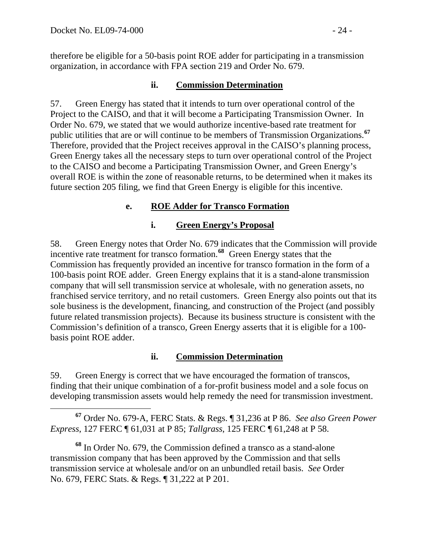therefore be eligible for a 50-basis point ROE adder for participating in a transmission organization, in accordance with FPA section 219 and Order No. 679.

### **ii. Commission Determination**

57. Green Energy has stated that it intends to turn over operational control of the Project to the CAISO, and that it will become a Participating Transmission Owner. In Order No. 679, we stated that we would authorize incentive-based rate treatment for public utilities that are or will continue to be members of Transmission Organizations.**[67](#page-23-0)** Therefore, provided that the Project receives approval in the CAISO's planning process, Green Energy takes all the necessary steps to turn over operational control of the Project to the CAISO and become a Participating Transmission Owner, and Green Energy's overall ROE is within the zone of reasonable returns, to be determined when it makes its future section 205 filing, we find that Green Energy is eligible for this incentive.

## **e. ROE Adder for Transco Formation**

## **i. Green Energy's Proposal**

58. Green Energy notes that Order No. 679 indicates that the Commission will provide incentive rate treatment for transco formation.<sup>[68](#page-23-1)</sup> Green Energy states that the Commission has frequently provided an incentive for transco formation in the form of a 100-basis point ROE adder. Green Energy explains that it is a stand-alone transmission company that will sell transmission service at wholesale, with no generation assets, no franchised service territory, and no retail customers. Green Energy also points out that its sole business is the development, financing, and construction of the Project (and possibly future related transmission projects). Because its business structure is consistent with the Commission's definition of a transco, Green Energy asserts that it is eligible for a 100 basis point ROE adder.

## **ii. Commission Determination**

59. Green Energy is correct that we have encouraged the formation of transcos, finding that their unique combination of a for-profit business model and a sole focus on developing transmission assets would help remedy the need for transmission investment.

<span id="page-23-0"></span> **<sup>67</sup>** Order No. 679-A, FERC Stats. & Regs. ¶ 31,236 at P 86. *See also Green Power Express*, 127 FERC ¶ 61,031 at P 85; *Tallgrass*, 125 FERC ¶ 61,248 at P 58.

<span id="page-23-1"></span>**<sup>68</sup>** In Order No. 679, the Commission defined a transco as a stand-alone transmission company that has been approved by the Commission and that sells transmission service at wholesale and/or on an unbundled retail basis. *See* Order No. 679, FERC Stats. & Regs. ¶ 31,222 at P 201.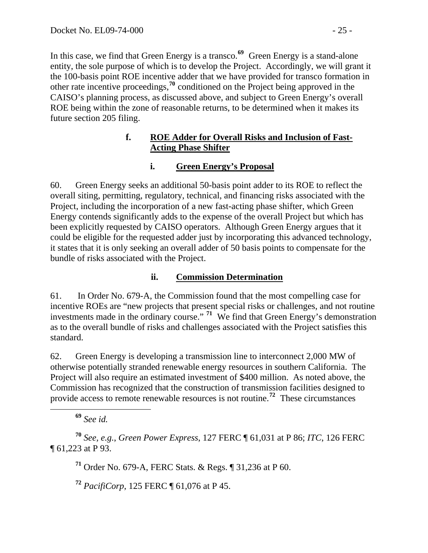In this case, we find that Green Energy is a transco.**<sup>69</sup>** Green Energy is a stand-alone entity, the sole purpose of which is to develop the Project. Accordingly, we will grant it the 100-basis point ROE incentive adder that we have provided for transco formation in other rate incentive proceedings,**<sup>70</sup>** conditioned on the Project being approved in the CAISO's planning process, as discussed above, and subject to Green Energy's overall ROE being within the zone of reasonable returns, to be determined when it makes its future section 205 filing.

#### **f. ROE Adder for Overall Risks and Inclusion of Fast-Acting Phase Shifter**

### **i. Green Energy's Proposal**

60. Green Energy seeks an additional 50-basis point adder to its ROE to reflect the overall siting, permitting, regulatory, technical, and financing risks associated with the Project, including the incorporation of a new fast-acting phase shifter, which Green Energy contends significantly adds to the expense of the overall Project but which has been explicitly requested by CAISO operators. Although Green Energy argues that it could be eligible for the requested adder just by incorporating this advanced technology, it states that it is only seeking an overall adder of 50 basis points to compensate for the bundle of risks associated with the Project.

## **ii. Commission Determination**

61. In Order No. 679-A, the Commission found that the most compelling case for incentive ROEs are "new projects that present special risks or challenges, and not routine investments made in the ordinary course." **[71](#page-24-0)** We find that Green Energy's demonstration as to the overall bundle of risks and challenges associated with the Project satisfies this standard.

62. Green Energy is developing a transmission line to interconnect 2,000 MW of otherwise potentially stranded renewable energy resources in southern California. The Project will also require an estimated investment of \$400 million. As noted above, the Commission has recognized that the construction of transmission facilities designed to provide access to remote renewable resources is not routine.**[72](#page-24-1)** These circumstances

**<sup>69</sup>** *See id.*

<span id="page-24-1"></span><span id="page-24-0"></span>**<sup>70</sup>** *See, e.g.*, *Green Power Express*, 127 FERC ¶ 61,031 at P 86; *ITC*, 126 FERC ¶ 61,223 at P 93.

**<sup>71</sup>** Order No. 679-A, FERC Stats. & Regs. ¶ 31,236 at P 60.

**<sup>72</sup>** *PacifiCorp*, 125 FERC ¶ 61,076 at P 45.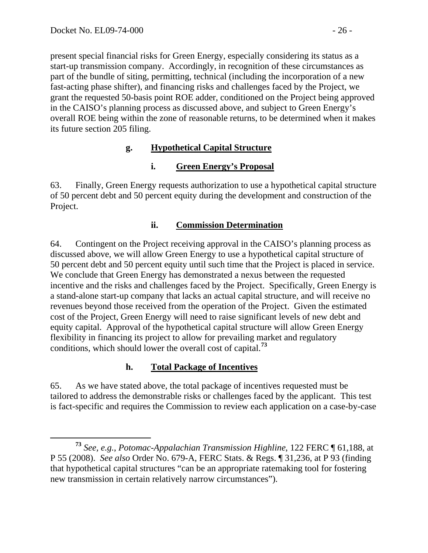present special financial risks for Green Energy, especially considering its status as a start-up transmission company. Accordingly, in recognition of these circumstances as part of the bundle of siting, permitting, technical (including the incorporation of a new fast-acting phase shifter), and financing risks and challenges faced by the Project, we grant the requested 50-basis point ROE adder, conditioned on the Project being approved in the CAISO's planning process as discussed above, and subject to Green Energy's overall ROE being within the zone of reasonable returns, to be determined when it makes its future section 205 filing.

## **g. Hypothetical Capital Structure**

# **i. Green Energy's Proposal**

63. Finally, Green Energy requests authorization to use a hypothetical capital structure of 50 percent debt and 50 percent equity during the development and construction of the Project.

# **ii. Commission Determination**

64. Contingent on the Project receiving approval in the CAISO's planning process as discussed above, we will allow Green Energy to use a hypothetical capital structure of 50 percent debt and 50 percent equity until such time that the Project is placed in service. We conclude that Green Energy has demonstrated a nexus between the requested incentive and the risks and challenges faced by the Project. Specifically, Green Energy is a stand-alone start-up company that lacks an actual capital structure, and will receive no revenues beyond those received from the operation of the Project. Given the estimated cost of the Project, Green Energy will need to raise significant levels of new debt and equity capital. Approval of the hypothetical capital structure will allow Green Energy flexibility in financing its project to allow for prevailing market and regulatory conditions, which should lower the overall cost of capital.**[73](#page-25-0)**

# **h. Total Package of Incentives**

65. As we have stated above, the total package of incentives requested must be tailored to address the demonstrable risks or challenges faced by the applicant. This test is fact-specific and requires the Commission to review each application on a case-by-case

<span id="page-25-0"></span>**<sup>73</sup>** *See, e.g.*, *Potomac-Appalachian Transmission Highline*, 122 FERC ¶ 61,188, at P 55 (2008). *See also* Order No. 679-A, FERC Stats. & Regs. ¶ 31,236, at P 93 (finding that hypothetical capital structures "can be an appropriate ratemaking tool for fostering new transmission in certain relatively narrow circumstances").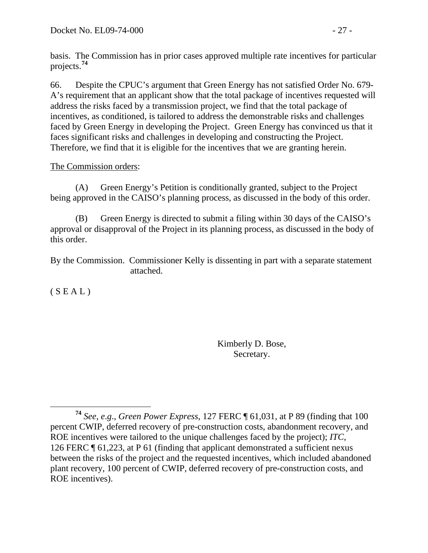basis. The Commission has in prior cases approved multiple rate incentives for particular projects.**<sup>74</sup>**

66. Despite the CPUC's argument that Green Energy has not satisfied Order No. 679- A's requirement that an applicant show that the total package of incentives requested will address the risks faced by a transmission project, we find that the total package of incentives, as conditioned, is tailored to address the demonstrable risks and challenges faced by Green Energy in developing the Project. Green Energy has convinced us that it faces significant risks and challenges in developing and constructing the Project. Therefore, we find that it is eligible for the incentives that we are granting herein.

#### The Commission orders:

 (A) Green Energy's Petition is conditionally granted, subject to the Project being approved in the CAISO's planning process, as discussed in the body of this order.

 (B) Green Energy is directed to submit a filing within 30 days of the CAISO's approval or disapproval of the Project in its planning process, as discussed in the body of this order.

By the Commission. Commissioner Kelly is dissenting in part with a separate statement attached.

 $(S E A L)$ 

Kimberly D. Bose, Secretary.

**<sup>74</sup>** *See*, *e*.*g*., *Green Power Express*, 127 FERC ¶ 61,031, at P 89 (finding that 100 percent CWIP, deferred recovery of pre-construction costs, abandonment recovery, and ROE incentives were tailored to the unique challenges faced by the project); *ITC*, 126 FERC ¶ 61,223, at P 61 (finding that applicant demonstrated a sufficient nexus between the risks of the project and the requested incentives, which included abandoned plant recovery, 100 percent of CWIP, deferred recovery of pre-construction costs, and ROE incentives).